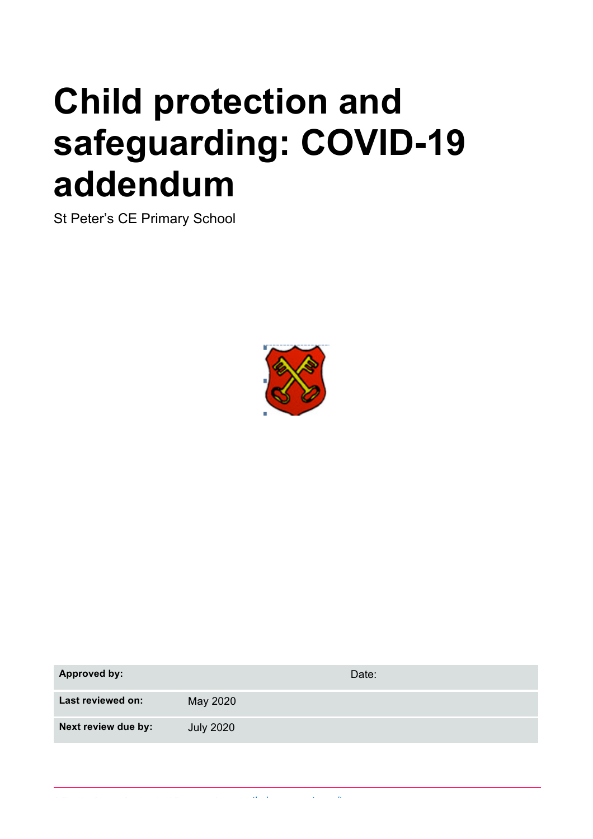# **Child protection and safeguarding: COVID-19 addendum**

St Peter's CE Primary School



| <b>Approved by:</b> |                  | Date: |
|---------------------|------------------|-------|
| Last reviewed on:   | May 2020         |       |
| Next review due by: | <b>July 2020</b> |       |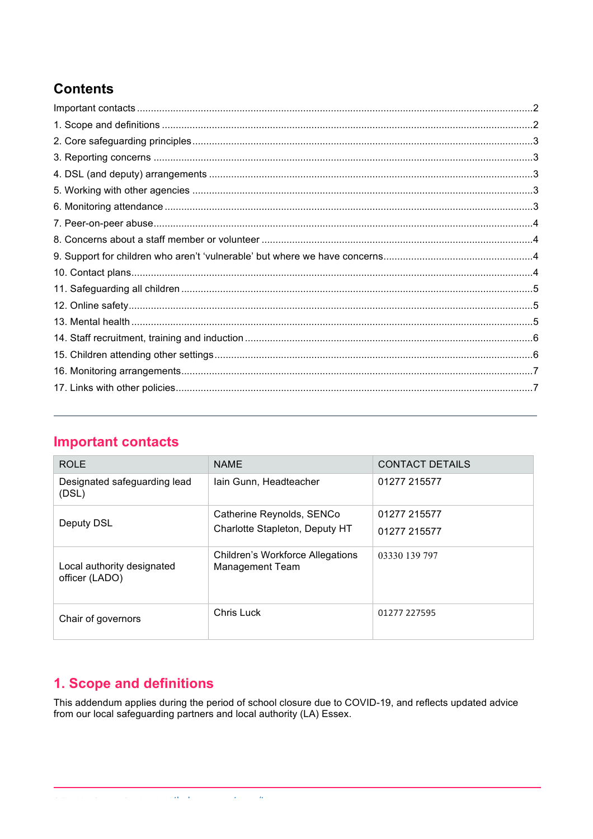# **Contents**

## **Important contacts**

| <b>ROLE</b>                                  | <b>NAME</b>                                                | <b>CONTACT DETAILS</b> |
|----------------------------------------------|------------------------------------------------------------|------------------------|
| Designated safeguarding lead<br>(DSL)        | Iain Gunn, Headteacher                                     | 01277 215577           |
|                                              | Catherine Reynolds, SENCo                                  | 01277 215577           |
| Deputy DSL                                   | Charlotte Stapleton, Deputy HT                             | 01277 215577           |
| Local authority designated<br>officer (LADO) | Children's Workforce Allegations<br><b>Management Team</b> | 03330 139 797          |
| Chair of governors                           | Chris Luck                                                 | 01277 227595           |

# **1. Scope and definitions**

This addendum applies during the period of school closure due to COVID-19, and reflects updated advice from our local safeguarding partners and local authority (LA) Essex.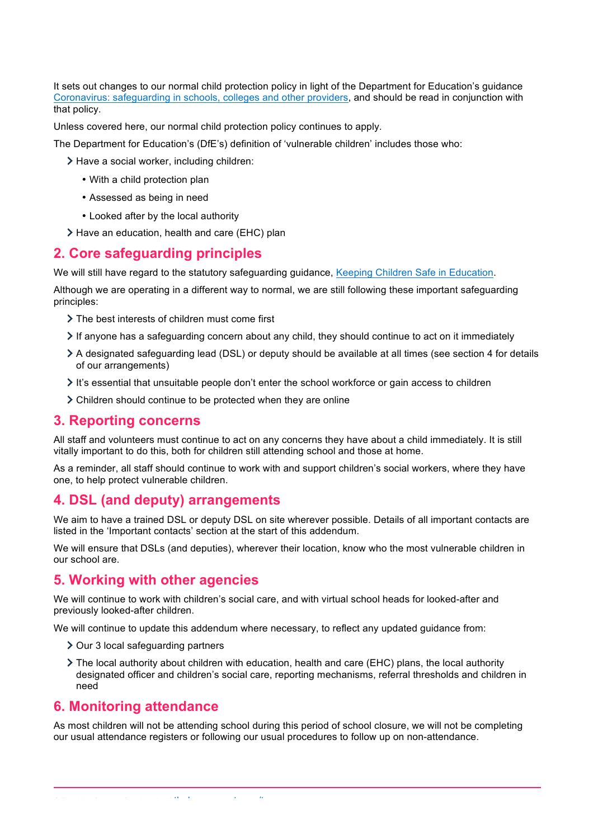It sets out changes to our normal child protection policy in light of the Department for Education's guidance Coronavirus: safeguarding in schools, colleges and other providers, and should be read in conjunction with that policy.

Unless covered here, our normal child protection policy continues to apply.

The Department for Education's (DfE's) definition of 'vulnerable children' includes those who:

- > Have a social worker, including children:
	- With a child protection plan
	- Assessed as being in need
	- Looked after by the local authority
- > Have an education, health and care (EHC) plan

## **2. Core safeguarding principles**

We will still have regard to the statutory safeguarding guidance, Keeping Children Safe in Education.

Although we are operating in a different way to normal, we are still following these important safeguarding principles:

- The best interests of children must come first
- $\geq$  If anyone has a safeguarding concern about any child, they should continue to act on it immediately
- A designated safeguarding lead (DSL) or deputy should be available at all times (see section 4 for details of our arrangements)
- It's essential that unsuitable people don't enter the school workforce or gain access to children
- Children should continue to be protected when they are online

#### **3. Reporting concerns**

All staff and volunteers must continue to act on any concerns they have about a child immediately. It is still vitally important to do this, both for children still attending school and those at home.

As a reminder, all staff should continue to work with and support children's social workers, where they have one, to help protect vulnerable children.

## **4. DSL (and deputy) arrangements**

We aim to have a trained DSL or deputy DSL on site wherever possible. Details of all important contacts are listed in the 'Important contacts' section at the start of this addendum.

We will ensure that DSLs (and deputies), wherever their location, know who the most vulnerable children in our school are.

## **5. Working with other agencies**

We will continue to work with children's social care, and with virtual school heads for looked-after and previously looked-after children.

We will continue to update this addendum where necessary, to reflect any updated guidance from:

- > Our 3 local safeguarding partners
- The local authority about children with education, health and care (EHC) plans, the local authority designated officer and children's social care, reporting mechanisms, referral thresholds and children in need

## **6. Monitoring attendance**

As most children will not be attending school during this period of school closure, we will not be completing our usual attendance registers or following our usual procedures to follow up on non-attendance.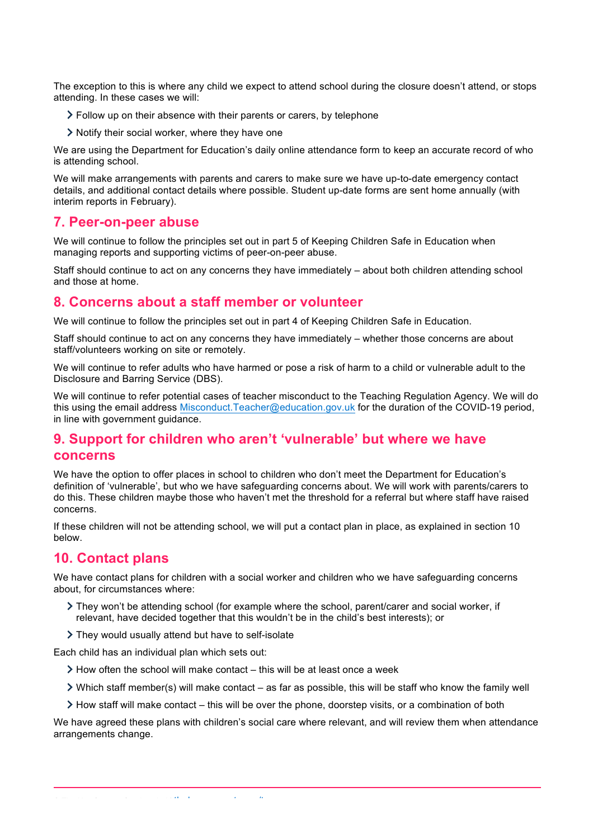The exception to this is where any child we expect to attend school during the closure doesn't attend, or stops attending. In these cases we will:

- Follow up on their absence with their parents or carers, by telephone
- Notify their social worker, where they have one

We are using the Department for Education's daily online attendance form to keep an accurate record of who is attending school.

We will make arrangements with parents and carers to make sure we have up-to-date emergency contact details, and additional contact details where possible. Student up-date forms are sent home annually (with interim reports in February).

#### **7. Peer-on-peer abuse**

We will continue to follow the principles set out in part 5 of Keeping Children Safe in Education when managing reports and supporting victims of peer-on-peer abuse.

Staff should continue to act on any concerns they have immediately – about both children attending school and those at home.

### **8. Concerns about a staff member or volunteer**

We will continue to follow the principles set out in part 4 of Keeping Children Safe in Education.

Staff should continue to act on any concerns they have immediately – whether those concerns are about staff/volunteers working on site or remotely.

We will continue to refer adults who have harmed or pose a risk of harm to a child or vulnerable adult to the Disclosure and Barring Service (DBS).

We will continue to refer potential cases of teacher misconduct to the Teaching Regulation Agency. We will do this using the email address Misconduct.Teacher@education.gov.uk for the duration of the COVID-19 period, in line with government guidance.

## **9. Support for children who aren't 'vulnerable' but where we have concerns**

We have the option to offer places in school to children who don't meet the Department for Education's definition of 'vulnerable', but who we have safeguarding concerns about. We will work with parents/carers to do this. These children maybe those who haven't met the threshold for a referral but where staff have raised concerns.

If these children will not be attending school, we will put a contact plan in place, as explained in section 10 below.

## **10. Contact plans**

We have contact plans for children with a social worker and children who we have safeguarding concerns about, for circumstances where:

- They won't be attending school (for example where the school, parent/carer and social worker, if relevant, have decided together that this wouldn't be in the child's best interests); or
- They would usually attend but have to self-isolate

Each child has an individual plan which sets out:

- $\geq$  How often the school will make contact this will be at least once a week
- Which staff member(s) will make contact as far as possible, this will be staff who know the family well
- $\geq$  How staff will make contact this will be over the phone, doorstep visits, or a combination of both

We have agreed these plans with children's social care where relevant, and will review them when attendance arrangements change.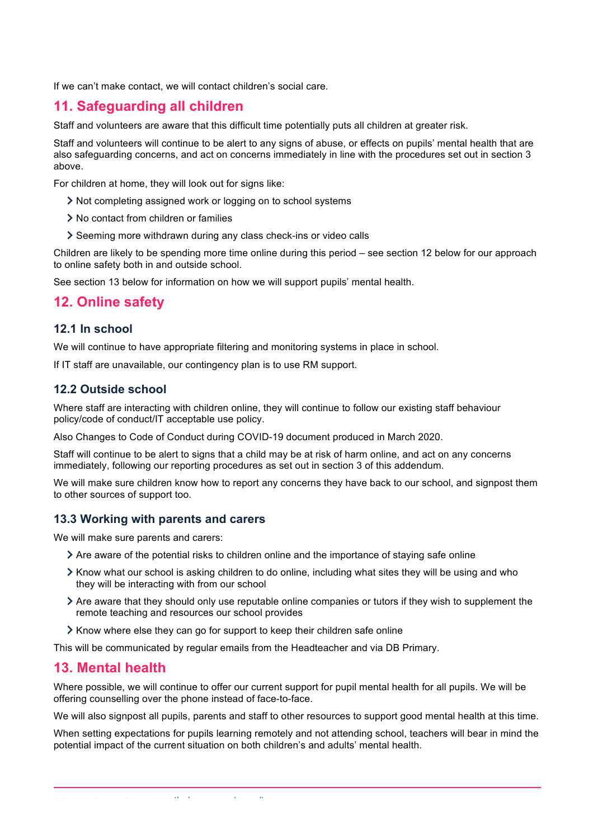If we can't make contact, we will contact children's social care.

## **11. Safeguarding all children**

Staff and volunteers are aware that this difficult time potentially puts all children at greater risk.

Staff and volunteers will continue to be alert to any signs of abuse, or effects on pupils' mental health that are also safeguarding concerns, and act on concerns immediately in line with the procedures set out in section 3 above.

For children at home, they will look out for signs like:

- Not completing assigned work or logging on to school systems
- No contact from children or families
- Seeming more withdrawn during any class check-ins or video calls

Children are likely to be spending more time online during this period – see section 12 below for our approach to online safety both in and outside school.

See section 13 below for information on how we will support pupils' mental health.

## **12. Online safety**

#### **12.1 In school**

We will continue to have appropriate filtering and monitoring systems in place in school.

If IT staff are unavailable, our contingency plan is to use RM support.

#### **12.2 Outside school**

Where staff are interacting with children online, they will continue to follow our existing staff behaviour policy/code of conduct/IT acceptable use policy.

Also Changes to Code of Conduct during COVID-19 document produced in March 2020.

Staff will continue to be alert to signs that a child may be at risk of harm online, and act on any concerns immediately, following our reporting procedures as set out in section 3 of this addendum.

We will make sure children know how to report any concerns they have back to our school, and signpost them to other sources of support too.

#### **13.3 Working with parents and carers**

We will make sure parents and carers:

- $\geq$  Are aware of the potential risks to children online and the importance of staying safe online
- X how what our school is asking children to do online, including what sites they will be using and who they will be interacting with from our school
- Are aware that they should only use reputable online companies or tutors if they wish to supplement the remote teaching and resources our school provides
- Know where else they can go for support to keep their children safe online

This will be communicated by regular emails from the Headteacher and via DB Primary.

#### **13. Mental health**

Where possible, we will continue to offer our current support for pupil mental health for all pupils. We will be offering counselling over the phone instead of face-to-face.

We will also signpost all pupils, parents and staff to other resources to support good mental health at this time.

When setting expectations for pupils learning remotely and not attending school, teachers will bear in mind the potential impact of the current situation on both children's and adults' mental health.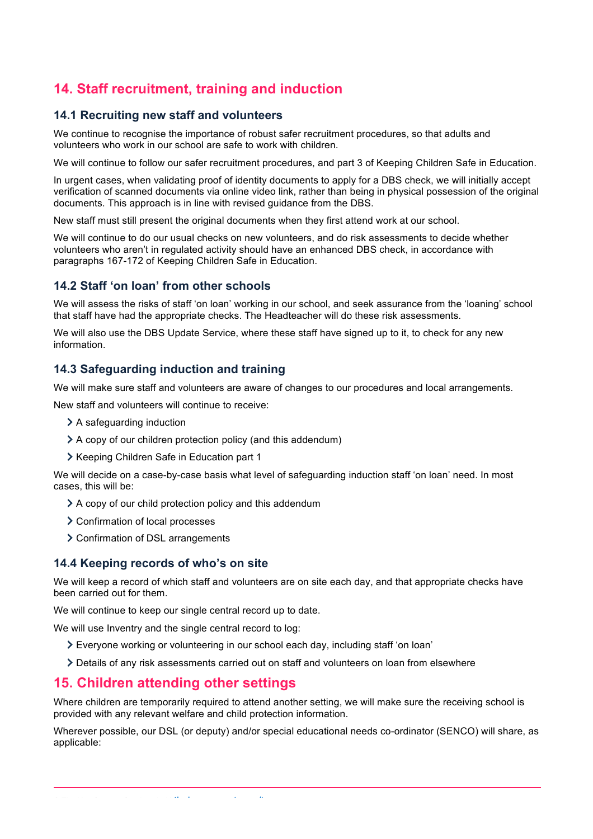# **14. Staff recruitment, training and induction**

#### **14.1 Recruiting new staff and volunteers**

We continue to recognise the importance of robust safer recruitment procedures, so that adults and volunteers who work in our school are safe to work with children.

We will continue to follow our safer recruitment procedures, and part 3 of Keeping Children Safe in Education.

In urgent cases, when validating proof of identity documents to apply for a DBS check, we will initially accept verification of scanned documents via online video link, rather than being in physical possession of the original documents. This approach is in line with revised guidance from the DBS.

New staff must still present the original documents when they first attend work at our school.

We will continue to do our usual checks on new volunteers, and do risk assessments to decide whether volunteers who aren't in regulated activity should have an enhanced DBS check, in accordance with paragraphs 167-172 of Keeping Children Safe in Education.

#### **14.2 Staff 'on loan' from other schools**

We will assess the risks of staff 'on loan' working in our school, and seek assurance from the 'loaning' school that staff have had the appropriate checks. The Headteacher will do these risk assessments.

We will also use the DBS Update Service, where these staff have signed up to it, to check for any new information.

#### **14.3 Safeguarding induction and training**

We will make sure staff and volunteers are aware of changes to our procedures and local arrangements.

New staff and volunteers will continue to receive:

- > A safeguarding induction
- A copy of our children protection policy (and this addendum)
- Xeeping Children Safe in Education part 1

We will decide on a case-by-case basis what level of safeguarding induction staff 'on loan' need. In most cases, this will be:

- A copy of our child protection policy and this addendum
- > Confirmation of local processes
- Confirmation of DSL arrangements

#### **14.4 Keeping records of who's on site**

We will keep a record of which staff and volunteers are on site each day, and that appropriate checks have been carried out for them.

We will continue to keep our single central record up to date.

We will use Inventry and the single central record to log:

- Everyone working or volunteering in our school each day, including staff 'on loan'
- Details of any risk assessments carried out on staff and volunteers on loan from elsewhere

#### **15. Children attending other settings**

Where children are temporarily required to attend another setting, we will make sure the receiving school is provided with any relevant welfare and child protection information.

Wherever possible, our DSL (or deputy) and/or special educational needs co-ordinator (SENCO) will share, as applicable: